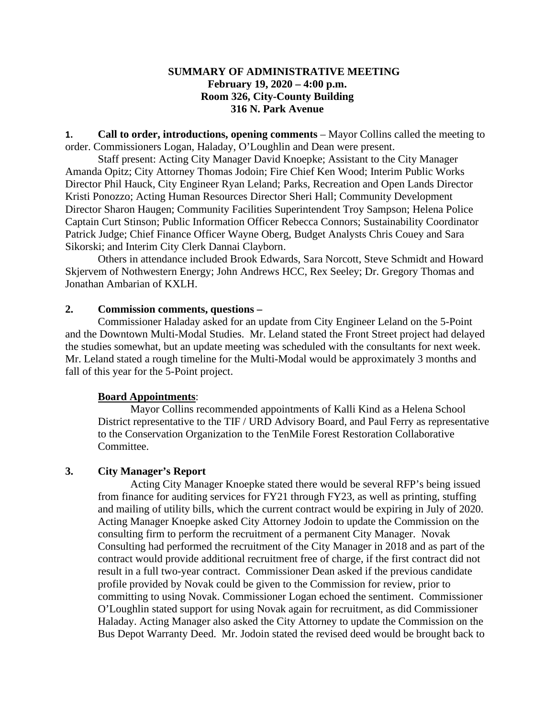## **SUMMARY OF ADMINISTRATIVE MEETING February 19, 2020 – 4:00 p.m. Room 326, City-County Building 316 N. Park Avenue**

**1. Call to order, introductions, opening comments** – Mayor Collins called the meeting to order. Commissioners Logan, Haladay, O'Loughlin and Dean were present.

Staff present: Acting City Manager David Knoepke; Assistant to the City Manager Amanda Opitz; City Attorney Thomas Jodoin; Fire Chief Ken Wood; Interim Public Works Director Phil Hauck, City Engineer Ryan Leland; Parks, Recreation and Open Lands Director Kristi Ponozzo; Acting Human Resources Director Sheri Hall; Community Development Director Sharon Haugen; Community Facilities Superintendent Troy Sampson; Helena Police Captain Curt Stinson; Public Information Officer Rebecca Connors; Sustainability Coordinator Patrick Judge; Chief Finance Officer Wayne Oberg, Budget Analysts Chris Couey and Sara Sikorski; and Interim City Clerk Dannai Clayborn.

Others in attendance included Brook Edwards, Sara Norcott, Steve Schmidt and Howard Skjervem of Nothwestern Energy; John Andrews HCC, Rex Seeley; Dr. Gregory Thomas and Jonathan Ambarian of KXLH.

## **2. Commission comments, questions –**

Commissioner Haladay asked for an update from City Engineer Leland on the 5-Point and the Downtown Multi-Modal Studies. Mr. Leland stated the Front Street project had delayed the studies somewhat, but an update meeting was scheduled with the consultants for next week. Mr. Leland stated a rough timeline for the Multi-Modal would be approximately 3 months and fall of this year for the 5-Point project.

### **Board Appointments**:

Mayor Collins recommended appointments of Kalli Kind as a Helena School District representative to the TIF / URD Advisory Board, and Paul Ferry as representative to the Conservation Organization to the TenMile Forest Restoration Collaborative Committee.

## **3. City Manager's Report**

Acting City Manager Knoepke stated there would be several RFP's being issued from finance for auditing services for FY21 through FY23, as well as printing, stuffing and mailing of utility bills, which the current contract would be expiring in July of 2020. Acting Manager Knoepke asked City Attorney Jodoin to update the Commission on the consulting firm to perform the recruitment of a permanent City Manager. Novak Consulting had performed the recruitment of the City Manager in 2018 and as part of the contract would provide additional recruitment free of charge, if the first contract did not result in a full two-year contract. Commissioner Dean asked if the previous candidate profile provided by Novak could be given to the Commission for review, prior to committing to using Novak. Commissioner Logan echoed the sentiment. Commissioner O'Loughlin stated support for using Novak again for recruitment, as did Commissioner Haladay. Acting Manager also asked the City Attorney to update the Commission on the Bus Depot Warranty Deed. Mr. Jodoin stated the revised deed would be brought back to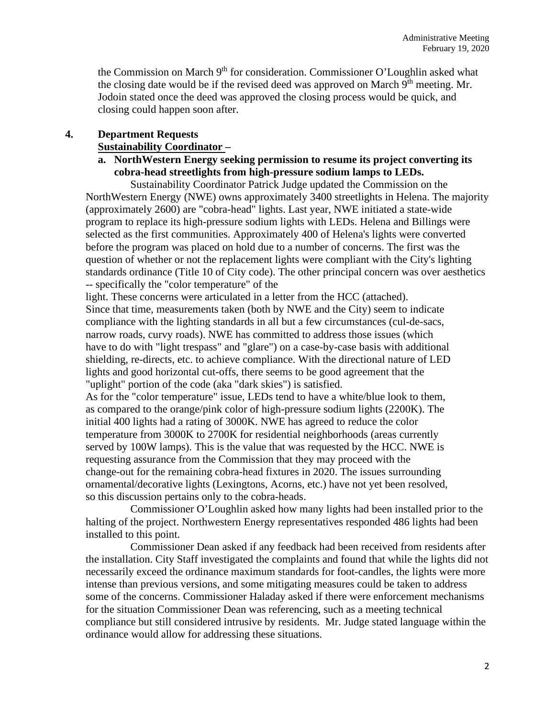the Commission on March 9<sup>th</sup> for consideration. Commissioner O'Loughlin asked what the closing date would be if the revised deed was approved on March  $9<sup>th</sup>$  meeting. Mr. Jodoin stated once the deed was approved the closing process would be quick, and closing could happen soon after.

## **4. Department Requests**

### **Sustainability Coordinator –**

**a. NorthWestern Energy seeking permission to resume its project converting its cobra-head streetlights from high-pressure sodium lamps to LEDs.**

Sustainability Coordinator Patrick Judge updated the Commission on the NorthWestern Energy (NWE) owns approximately 3400 streetlights in Helena. The majority (approximately 2600) are "cobra-head" lights. Last year, NWE initiated a state-wide program to replace its high-pressure sodium lights with LEDs. Helena and Billings were selected as the first communities. Approximately 400 of Helena's lights were converted before the program was placed on hold due to a number of concerns. The first was the question of whether or not the replacement lights were compliant with the City's lighting standards ordinance (Title 10 of City code). The other principal concern was over aesthetics -- specifically the "color temperature" of the

light. These concerns were articulated in a letter from the HCC (attached). Since that time, measurements taken (both by NWE and the City) seem to indicate compliance with the lighting standards in all but a few circumstances (cul-de-sacs, narrow roads, curvy roads). NWE has committed to address those issues (which have to do with "light trespass" and "glare") on a case-by-case basis with additional shielding, re-directs, etc. to achieve compliance. With the directional nature of LED lights and good horizontal cut-offs, there seems to be good agreement that the "uplight" portion of the code (aka "dark skies") is satisfied.

As for the "color temperature" issue, LEDs tend to have a white/blue look to them, as compared to the orange/pink color of high-pressure sodium lights (2200K). The initial 400 lights had a rating of 3000K. NWE has agreed to reduce the color temperature from 3000K to 2700K for residential neighborhoods (areas currently served by 100W lamps). This is the value that was requested by the HCC. NWE is requesting assurance from the Commission that they may proceed with the change-out for the remaining cobra-head fixtures in 2020. The issues surrounding ornamental/decorative lights (Lexingtons, Acorns, etc.) have not yet been resolved, so this discussion pertains only to the cobra-heads.

Commissioner O'Loughlin asked how many lights had been installed prior to the halting of the project. Northwestern Energy representatives responded 486 lights had been installed to this point.

Commissioner Dean asked if any feedback had been received from residents after the installation. City Staff investigated the complaints and found that while the lights did not necessarily exceed the ordinance maximum standards for foot-candles, the lights were more intense than previous versions, and some mitigating measures could be taken to address some of the concerns. Commissioner Haladay asked if there were enforcement mechanisms for the situation Commissioner Dean was referencing, such as a meeting technical compliance but still considered intrusive by residents. Mr. Judge stated language within the ordinance would allow for addressing these situations.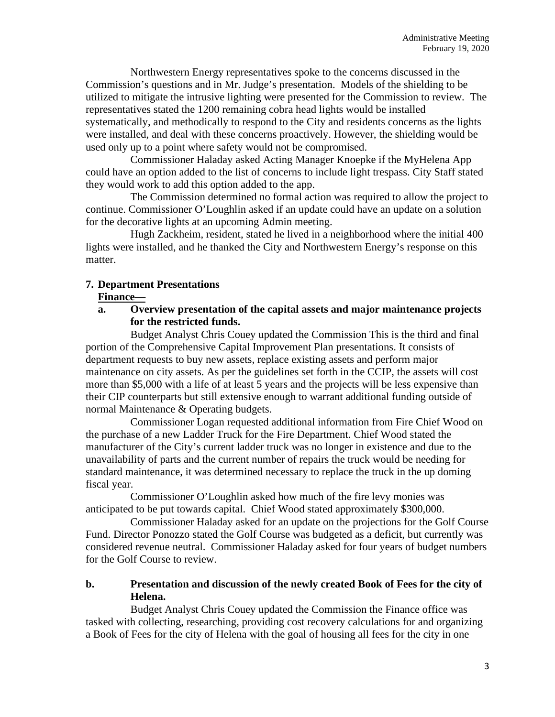Northwestern Energy representatives spoke to the concerns discussed in the Commission's questions and in Mr. Judge's presentation. Models of the shielding to be utilized to mitigate the intrusive lighting were presented for the Commission to review. The representatives stated the 1200 remaining cobra head lights would be installed systematically, and methodically to respond to the City and residents concerns as the lights were installed, and deal with these concerns proactively. However, the shielding would be used only up to a point where safety would not be compromised.

Commissioner Haladay asked Acting Manager Knoepke if the MyHelena App could have an option added to the list of concerns to include light trespass. City Staff stated they would work to add this option added to the app.

The Commission determined no formal action was required to allow the project to continue. Commissioner O'Loughlin asked if an update could have an update on a solution for the decorative lights at an upcoming Admin meeting.

Hugh Zackheim, resident, stated he lived in a neighborhood where the initial 400 lights were installed, and he thanked the City and Northwestern Energy's response on this matter.

## **7. Department Presentations**

## **Finance—**

**a. Overview presentation of the capital assets and major maintenance projects for the restricted funds.**

Budget Analyst Chris Couey updated the Commission This is the third and final portion of the Comprehensive Capital Improvement Plan presentations. It consists of department requests to buy new assets, replace existing assets and perform major maintenance on city assets. As per the guidelines set forth in the CCIP, the assets will cost more than \$5,000 with a life of at least 5 years and the projects will be less expensive than their CIP counterparts but still extensive enough to warrant additional funding outside of normal Maintenance & Operating budgets.

Commissioner Logan requested additional information from Fire Chief Wood on the purchase of a new Ladder Truck for the Fire Department. Chief Wood stated the manufacturer of the City's current ladder truck was no longer in existence and due to the unavailability of parts and the current number of repairs the truck would be needing for standard maintenance, it was determined necessary to replace the truck in the up doming fiscal year.

Commissioner O'Loughlin asked how much of the fire levy monies was anticipated to be put towards capital. Chief Wood stated approximately \$300,000.

Commissioner Haladay asked for an update on the projections for the Golf Course Fund. Director Ponozzo stated the Golf Course was budgeted as a deficit, but currently was considered revenue neutral. Commissioner Haladay asked for four years of budget numbers for the Golf Course to review.

# **b. Presentation and discussion of the newly created Book of Fees for the city of Helena.**

Budget Analyst Chris Couey updated the Commission the Finance office was tasked with collecting, researching, providing cost recovery calculations for and organizing a Book of Fees for the city of Helena with the goal of housing all fees for the city in one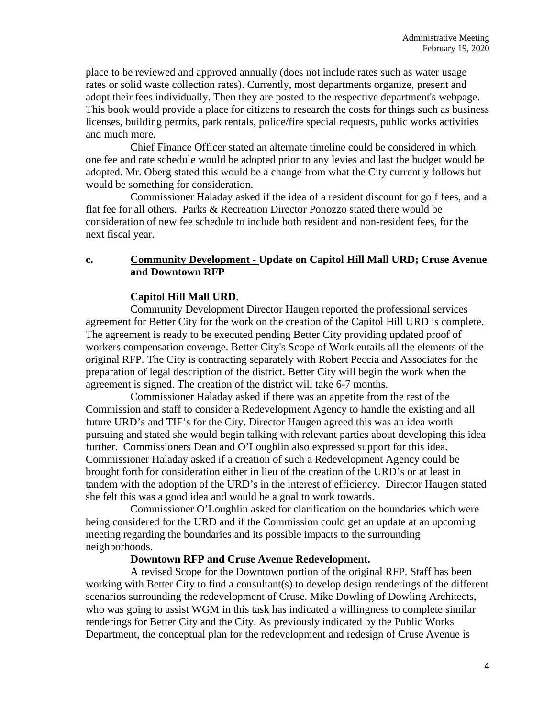place to be reviewed and approved annually (does not include rates such as water usage rates or solid waste collection rates). Currently, most departments organize, present and adopt their fees individually. Then they are posted to the respective department's webpage. This book would provide a place for citizens to research the costs for things such as business licenses, building permits, park rentals, police/fire special requests, public works activities and much more.

Chief Finance Officer stated an alternate timeline could be considered in which one fee and rate schedule would be adopted prior to any levies and last the budget would be adopted. Mr. Oberg stated this would be a change from what the City currently follows but would be something for consideration.

Commissioner Haladay asked if the idea of a resident discount for golf fees, and a flat fee for all others. Parks & Recreation Director Ponozzo stated there would be consideration of new fee schedule to include both resident and non-resident fees, for the next fiscal year.

## **c. Community Development - Update on Capitol Hill Mall URD; Cruse Avenue and Downtown RFP**

## **Capitol Hill Mall URD**.

Community Development Director Haugen reported the professional services agreement for Better City for the work on the creation of the Capitol Hill URD is complete. The agreement is ready to be executed pending Better City providing updated proof of workers compensation coverage. Better City's Scope of Work entails all the elements of the original RFP. The City is contracting separately with Robert Peccia and Associates for the preparation of legal description of the district. Better City will begin the work when the agreement is signed. The creation of the district will take 6-7 months.

Commissioner Haladay asked if there was an appetite from the rest of the Commission and staff to consider a Redevelopment Agency to handle the existing and all future URD's and TIF's for the City. Director Haugen agreed this was an idea worth pursuing and stated she would begin talking with relevant parties about developing this idea further. Commissioners Dean and O'Loughlin also expressed support for this idea. Commissioner Haladay asked if a creation of such a Redevelopment Agency could be brought forth for consideration either in lieu of the creation of the URD's or at least in tandem with the adoption of the URD's in the interest of efficiency. Director Haugen stated she felt this was a good idea and would be a goal to work towards.

Commissioner O'Loughlin asked for clarification on the boundaries which were being considered for the URD and if the Commission could get an update at an upcoming meeting regarding the boundaries and its possible impacts to the surrounding neighborhoods.

### **Downtown RFP and Cruse Avenue Redevelopment.**

A revised Scope for the Downtown portion of the original RFP. Staff has been working with Better City to find a consultant(s) to develop design renderings of the different scenarios surrounding the redevelopment of Cruse. Mike Dowling of Dowling Architects, who was going to assist WGM in this task has indicated a willingness to complete similar renderings for Better City and the City. As previously indicated by the Public Works Department, the conceptual plan for the redevelopment and redesign of Cruse Avenue is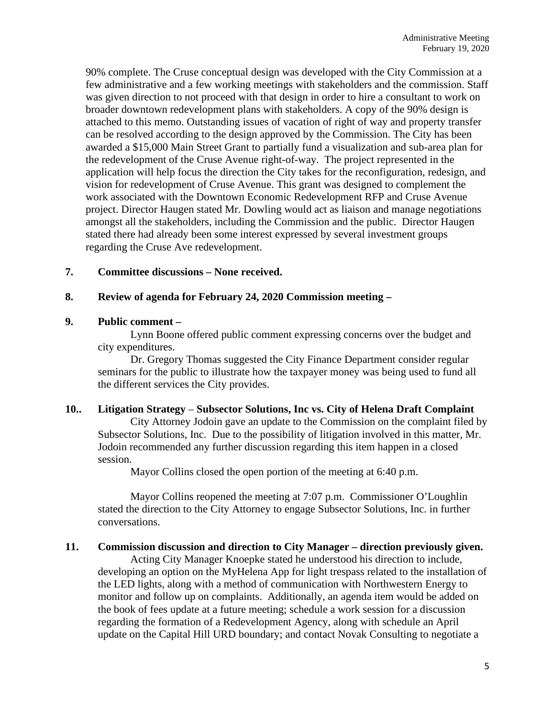90% complete. The Cruse conceptual design was developed with the City Commission at a few administrative and a few working meetings with stakeholders and the commission. Staff was given direction to not proceed with that design in order to hire a consultant to work on broader downtown redevelopment plans with stakeholders. A copy of the 90% design is attached to this memo. Outstanding issues of vacation of right of way and property transfer can be resolved according to the design approved by the Commission. The City has been awarded a \$15,000 Main Street Grant to partially fund a visualization and sub-area plan for the redevelopment of the Cruse Avenue right-of-way. The project represented in the application will help focus the direction the City takes for the reconfiguration, redesign, and vision for redevelopment of Cruse Avenue. This grant was designed to complement the work associated with the Downtown Economic Redevelopment RFP and Cruse Avenue project. Director Haugen stated Mr. Dowling would act as liaison and manage negotiations amongst all the stakeholders, including the Commission and the public. Director Haugen stated there had already been some interest expressed by several investment groups regarding the Cruse Ave redevelopment.

### **7. Committee discussions – None received.**

### **8. Review of agenda for February 24, 2020 Commission meeting –**

### **9. Public comment –**

Lynn Boone offered public comment expressing concerns over the budget and city expenditures.

Dr. Gregory Thomas suggested the City Finance Department consider regular seminars for the public to illustrate how the taxpayer money was being used to fund all the different services the City provides.

### **10.. Litigation Strategy** – **Subsector Solutions, Inc vs. City of Helena Draft Complaint**

City Attorney Jodoin gave an update to the Commission on the complaint filed by Subsector Solutions, Inc. Due to the possibility of litigation involved in this matter, Mr. Jodoin recommended any further discussion regarding this item happen in a closed session.

Mayor Collins closed the open portion of the meeting at 6:40 p.m.

Mayor Collins reopened the meeting at 7:07 p.m. Commissioner O'Loughlin stated the direction to the City Attorney to engage Subsector Solutions, Inc. in further conversations.

### **11. Commission discussion and direction to City Manager – direction previously given.**

Acting City Manager Knoepke stated he understood his direction to include, developing an option on the MyHelena App for light trespass related to the installation of the LED lights, along with a method of communication with Northwestern Energy to monitor and follow up on complaints. Additionally, an agenda item would be added on the book of fees update at a future meeting; schedule a work session for a discussion regarding the formation of a Redevelopment Agency, along with schedule an April update on the Capital Hill URD boundary; and contact Novak Consulting to negotiate a